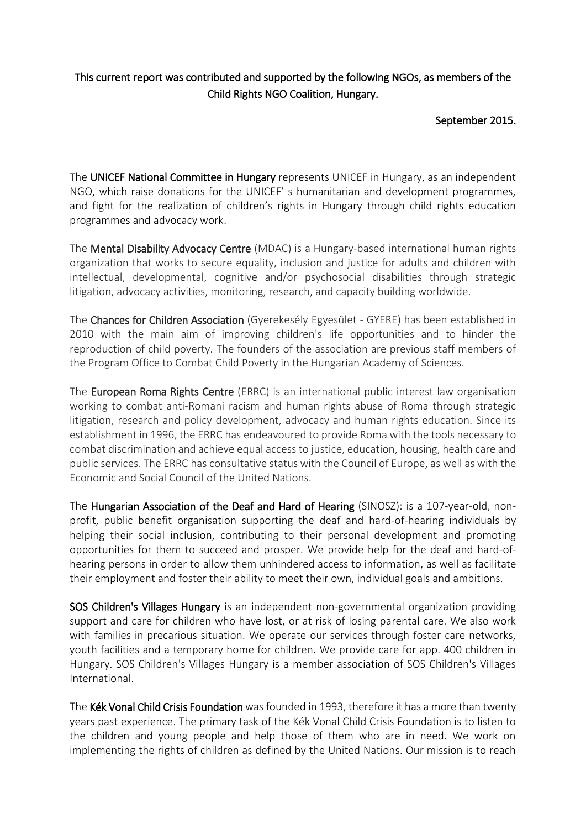## This current report was contributed and supported by the following NGOs, as members of the Child Rights NGO Coalition, Hungary.

September 2015.

The UNICEF National Committee in Hungary represents UNICEF in Hungary, as an independent NGO, which raise donations for the UNICEF' s humanitarian and development programmes, and fight for the realization of children's rights in Hungary through child rights education programmes and advocacy work.

The Mental Disability Advocacy Centre (MDAC) is a Hungary-based international human rights organization that works to secure equality, inclusion and justice for adults and children with intellectual, developmental, cognitive and/or psychosocial disabilities through strategic litigation, advocacy activities, monitoring, research, and capacity building worldwide.

The Chances for Children Association (Gyerekesély Egyesület - GYERE) has been established in 2010 with the main aim of improving children's life opportunities and to hinder the reproduction of child poverty. The founders of the association are previous staff members of the Program Office to Combat Child Poverty in the Hungarian Academy of Sciences.

The European Roma Rights Centre (ERRC) is an international public interest law organisation working to combat anti-Romani racism and human rights abuse of Roma through strategic litigation, research and policy development, advocacy and human rights education. Since its establishment in 1996, the ERRC has endeavoured to provide Roma with the tools necessary to combat discrimination and achieve equal access to justice, education, housing, health care and public services. The ERRC has consultative status with the Council of Europe, as well as with the Economic and Social Council of the United Nations.

The Hungarian Association of the Deaf and Hard of Hearing (SINOSZ): is a 107-year-old, nonprofit, public benefit organisation supporting the deaf and hard-of-hearing individuals by helping their social inclusion, contributing to their personal development and promoting opportunities for them to succeed and prosper. We provide help for the deaf and hard-ofhearing persons in order to allow them unhindered access to information, as well as facilitate their employment and foster their ability to meet their own, individual goals and ambitions.

SOS Children's Villages Hungary is an independent non-governmental organization providing support and care for children who have lost, or at risk of losing parental care. We also work with families in precarious situation. We operate our services through foster care networks, youth facilities and a temporary home for children. We provide care for app. 400 children in Hungary. SOS Children's Villages Hungary is a member association of SOS Children's Villages International.

The Kék Vonal Child Crisis Foundation was founded in 1993, therefore it has a more than twenty years past experience. The primary task of the Kék Vonal Child Crisis Foundation is to listen to the children and young people and help those of them who are in need. We work on implementing the rights of children as defined by the United Nations. Our mission is to reach